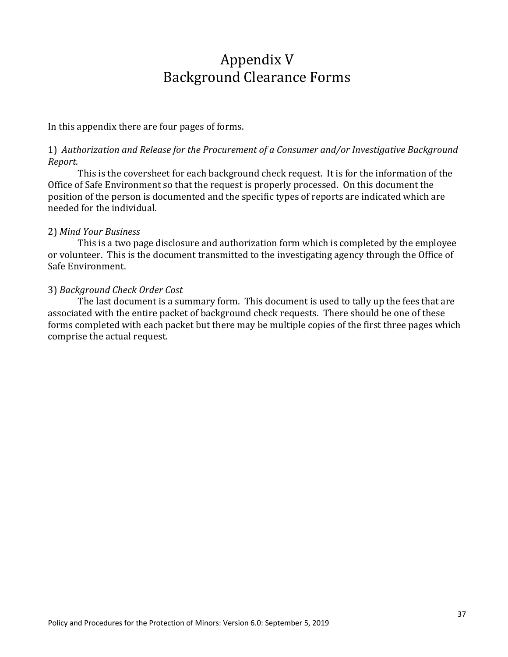# Appendix V Background Clearance Forms

In this appendix there are four pages of forms.

## 1) Authorization and Release for the Procurement of a Consumer and/or Investigative Background *Report.*

This is the coversheet for each background check request. It is for the information of the Office of Safe Environment so that the request is properly processed. On this document the position of the person is documented and the specific types of reports are indicated which are needed for the individual.

### 2) *Mind Your Business*

This is a two page disclosure and authorization form which is completed by the employee or volunteer. This is the document transmitted to the investigating agency through the Office of Safe Environment.

### 3) *Background Check Order Cost*

The last document is a summary form. This document is used to tally up the fees that are associated with the entire packet of background check requests. There should be one of these forms completed with each packet but there may be multiple copies of the first three pages which comprise the actual request.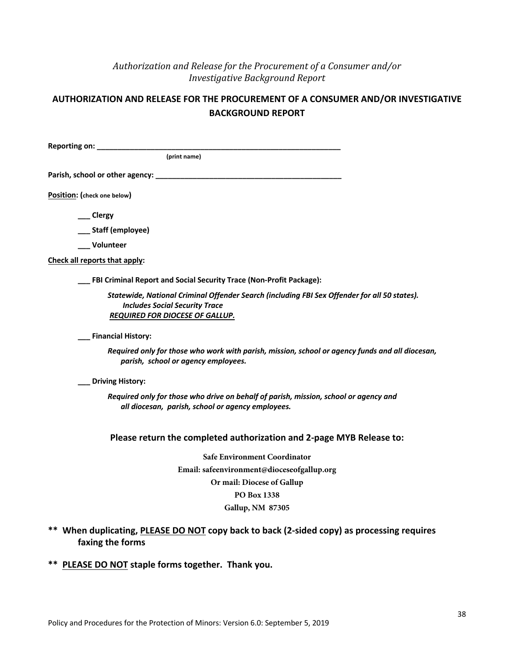# *Authorization and Release for the Procurement of a Consumer and/or Investigative Background Report*

## **AUTHORIZATION AND RELEASE FOR THE PROCUREMENT OF A CONSUMER AND/OR INVESTIGATIVE BACKGROUND REPORT**

| Reporting on: __________                                                                                                                                                 |
|--------------------------------------------------------------------------------------------------------------------------------------------------------------------------|
| (print name)                                                                                                                                                             |
|                                                                                                                                                                          |
| Position: (check one below)                                                                                                                                              |
| __ Clergy                                                                                                                                                                |
| __ Staff (employee)                                                                                                                                                      |
| Volunteer                                                                                                                                                                |
| Check all reports that apply:                                                                                                                                            |
| FBI Criminal Report and Social Security Trace (Non-Profit Package):                                                                                                      |
| Statewide, National Criminal Offender Search (including FBI Sex Offender for all 50 states).<br><b>Includes Social Security Trace</b><br>REQUIRED FOR DIOCESE OF GALLUP. |
| <b>Financial History:</b>                                                                                                                                                |
| Required only for those who work with parish, mission, school or agency funds and all diocesan,<br>parish, school or agency employees.                                   |
| <b>Driving History:</b>                                                                                                                                                  |
| Required only for those who drive on behalf of parish, mission, school or agency and<br>all diocesan, parish, school or agency employees.                                |
| Please return the completed authorization and 2-page MYB Release to:                                                                                                     |
| <b>Safe Environment Coordinator</b>                                                                                                                                      |
| Email: safeenvironment@dioceseofgallup.org                                                                                                                               |
| Or mail: Diocese of Gallup                                                                                                                                               |
| PO Box 1338                                                                                                                                                              |
| <b>Gallup, NM 87305</b>                                                                                                                                                  |
| ** When duplicating, PLEASE DO NOT copy back to back (2-sided copy) as processing requires<br>faxing the forms                                                           |
| ** PLEASE DO NOT staple forms together. Thank you.                                                                                                                       |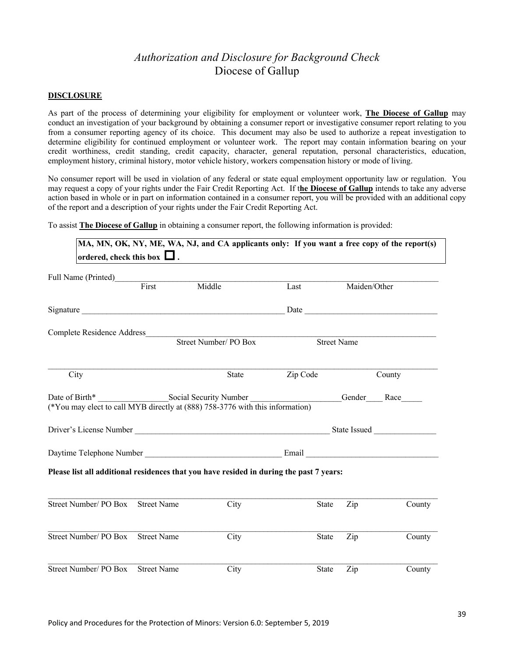# *Authorization and Disclosure for Background Check* Diocese of Gallup

#### **DISCLOSURE**

As part of the process of determining your eligibility for employment or volunteer work, **The Diocese of Gallup** may conduct an investigation of your background by obtaining a consumer report or investigative consumer report relating to you from a consumer reporting agency of its choice. This document may also be used to authorize a repeat investigation to determine eligibility for continued employment or volunteer work. The report may contain information bearing on your credit worthiness, credit standing, credit capacity, character, general reputation, personal characteristics, education, employment history, criminal history, motor vehicle history, workers compensation history or mode of living.

No consumer report will be used in violation of any federal or state equal employment opportunity law or regulation. You may request a copy of your rights under the Fair Credit Reporting Act. If t**he Diocese of Gallup** intends to take any adverse action based in whole or in part on information contained in a consumer report, you will be provided with an additional copy of the report and a description of your rights under the Fair Credit Reporting Act.

To assist **The Diocese of Gallup** in obtaining a consumer report, the following information is provided:

| ordered, check this box $\Box$ .                                                        |                                | MA, MN, OK, NY, ME, WA, NJ, and CA applicants only: If you want a free copy of the report(s) |                    |                                   |             |
|-----------------------------------------------------------------------------------------|--------------------------------|----------------------------------------------------------------------------------------------|--------------------|-----------------------------------|-------------|
|                                                                                         |                                |                                                                                              |                    |                                   |             |
| Full Name (Printed)<br>First                                                            | Middle<br>Maiden/Other<br>Last |                                                                                              |                    |                                   |             |
|                                                                                         |                                |                                                                                              |                    |                                   |             |
| Complete Residence Address                                                              |                                |                                                                                              |                    |                                   |             |
|                                                                                         |                                | Street Number/ PO Box                                                                        | <b>Street Name</b> |                                   |             |
| City                                                                                    |                                | <b>State</b>                                                                                 | Zip Code           |                                   | County      |
| (*You may elect to call MYB directly at (888) 758-3776 with this information)           |                                |                                                                                              |                    |                                   | Gender Race |
|                                                                                         |                                |                                                                                              |                    |                                   |             |
|                                                                                         |                                |                                                                                              |                    |                                   |             |
| Please list all additional residences that you have resided in during the past 7 years: |                                |                                                                                              |                    |                                   |             |
| Street Number/ PO Box Street Name                                                       |                                | City                                                                                         | State              | $\mathop{\mathrm {Zip}}\nolimits$ | County      |
| Street Number/ PO Box                                                                   | <b>Street Name</b>             | City                                                                                         | <b>State</b>       | Zip                               | County      |
| Street Number/ PO Box Street Name                                                       |                                | City                                                                                         | <b>State</b>       | Zip                               | County      |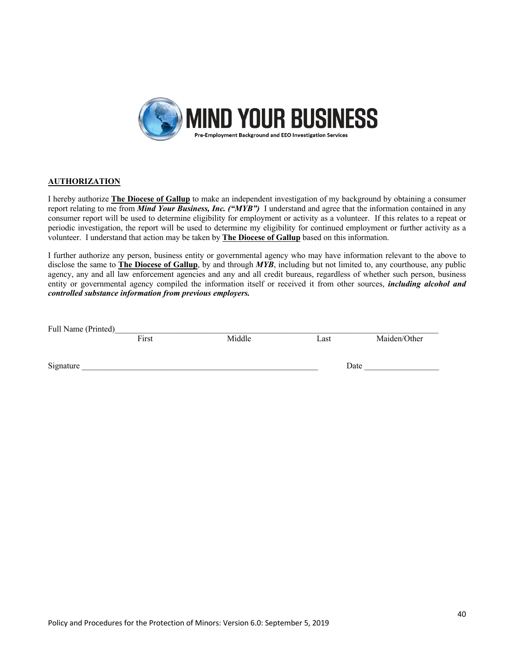

#### **AUTHORIZATION**

I hereby authorize **The Diocese of Gallup** to make an independent investigation of my background by obtaining a consumer report relating to me from *Mind Your Business, Inc. ("MYB")* I understand and agree that the information contained in any consumer report will be used to determine eligibility for employment or activity as a volunteer. If this relates to a repeat or periodic investigation, the report will be used to determine my eligibility for continued employment or further activity as a volunteer. I understand that action may be taken by **The Diocese of Gallup** based on this information.

I further authorize any person, business entity or governmental agency who may have information relevant to the above to disclose the same to **The Diocese of Gallup**, by and through *MYB*, including but not limited to, any courthouse, any public agency, any and all law enforcement agencies and any and all credit bureaus, regardless of whether such person, business entity or governmental agency compiled the information itself or received it from other sources, *including alcohol and controlled substance information from previous employers.* 

| Full Name (Printed) |       |        |      |              |
|---------------------|-------|--------|------|--------------|
|                     | First | Middle | Last | Maiden/Other |
| Signature           |       |        |      | Date         |